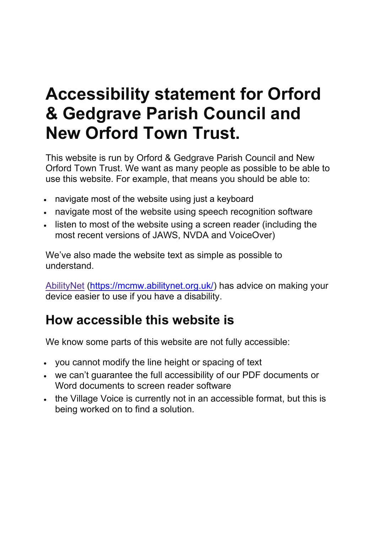## **Accessibility statement for Orford & Gedgrave Parish Council and New Orford Town Trust.**

This website is run by Orford & Gedgrave Parish Council and New Orford Town Trust. We want as many people as possible to be able to use this website. For example, that means you should be able to:

- navigate most of the website using just a keyboard
- navigate most of the website using speech recognition software
- listen to most of the website using a screen reader (including the most recent versions of JAWS, NVDA and VoiceOver)

We've also made the website text as simple as possible to understand.

[AbilityNet](https://mcmw.abilitynet.org.uk/) [\(https://mcmw.abilitynet.org.uk/\)](https://mcmw.abilitynet.org.uk/) has advice on making your device easier to use if you have a disability.

### **How accessible this website is**

We know some parts of this website are not fully accessible:

- you cannot modify the line height or spacing of text
- we can't guarantee the full accessibility of our PDF documents or Word documents to screen reader software
- the Village Voice is currently not in an accessible format, but this is being worked on to find a solution.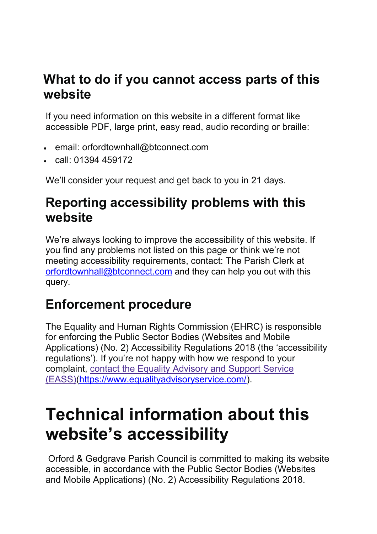#### **What to do if you cannot access parts of this website**

If you need information on this website in a different format like accessible PDF, large print, easy read, audio recording or braille:

- email: orfordtownhall@btconnect.com
- call: 01394 459172

We'll consider your request and get back to you in 21 days.

#### **Reporting accessibility problems with this website**

We're always looking to improve the accessibility of this website. If you find any problems not listed on this page or think we're not meeting accessibility requirements, contact: The Parish Clerk at [orfordtownhall@btconnect.com](mailto:orfordtownhall@btconnect.com) and they can help you out with this query.

### **Enforcement procedure**

The Equality and Human Rights Commission (EHRC) is responsible for enforcing the Public Sector Bodies (Websites and Mobile Applications) (No. 2) Accessibility Regulations 2018 (the 'accessibility regulations'). If you're not happy with how we respond to your complaint, contact the Equality [Advisory](https://www.equalityadvisoryservice.com/) and Support Service [\(EASS\)\(https://www.equalityadvisoryservice.com/\)](https://www.equalityadvisoryservice.com/).

## **Technical information about this website's accessibility**

Orford & Gedgrave Parish Council is committed to making its website accessible, in accordance with the Public Sector Bodies (Websites and Mobile Applications) (No. 2) Accessibility Regulations 2018.